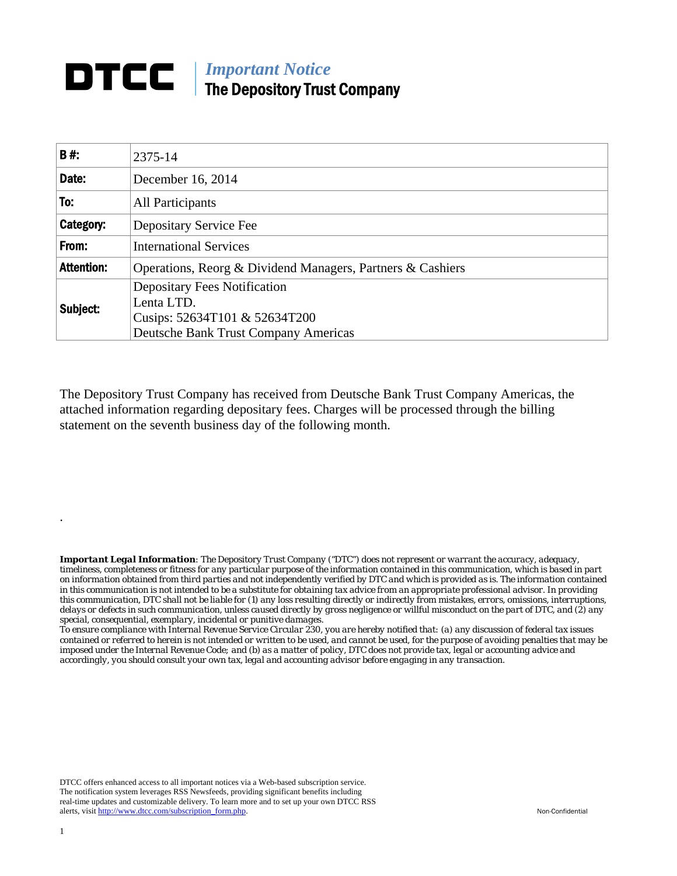## *Important Notice*  The Depository Trust Company

| 2375-14                                                                                                                    |
|----------------------------------------------------------------------------------------------------------------------------|
| December 16, 2014                                                                                                          |
| <b>All Participants</b>                                                                                                    |
| Depositary Service Fee                                                                                                     |
| <b>International Services</b>                                                                                              |
| Operations, Reorg & Dividend Managers, Partners & Cashiers                                                                 |
| <b>Depositary Fees Notification</b><br>Lenta LTD.<br>Cusips: 52634T101 & 52634T200<br>Deutsche Bank Trust Company Americas |
|                                                                                                                            |

The Depository Trust Company has received from Deutsche Bank Trust Company Americas, the attached information regarding depositary fees. Charges will be processed through the billing statement on the seventh business day of the following month.

*Important Legal Information: The Depository Trust Company ("DTC") does not represent or warrant the accuracy, adequacy, timeliness, completeness or fitness for any particular purpose of the information contained in this communication, which is based in part on information obtained from third parties and not independently verified by DTC and which is provided as is. The information contained in this communication is not intended to be a substitute for obtaining tax advice from an appropriate professional advisor. In providing this communication, DTC shall not be liable for (1) any loss resulting directly or indirectly from mistakes, errors, omissions, interruptions, delays or defects in such communication, unless caused directly by gross negligence or willful misconduct on the part of DTC, and (2) any special, consequential, exemplary, incidental or punitive damages.* 

*To ensure compliance with Internal Revenue Service Circular 230, you are hereby notified that: (a) any discussion of federal tax issues contained or referred to herein is not intended or written to be used, and cannot be used, for the purpose of avoiding penalties that may be imposed under the Internal Revenue Code; and (b) as a matter of policy, DTC does not provide tax, legal or accounting advice and accordingly, you should consult your own tax, legal and accounting advisor before engaging in any transaction.*

DTCC offers enhanced access to all important notices via a Web-based subscription service. The notification system leverages RSS Newsfeeds, providing significant benefits including real-time updates and customizable delivery. To learn more and to set up your own DTCC RSS alerts, visit http://www.dtcc.com/subscription\_form.php. Non-Confidential

.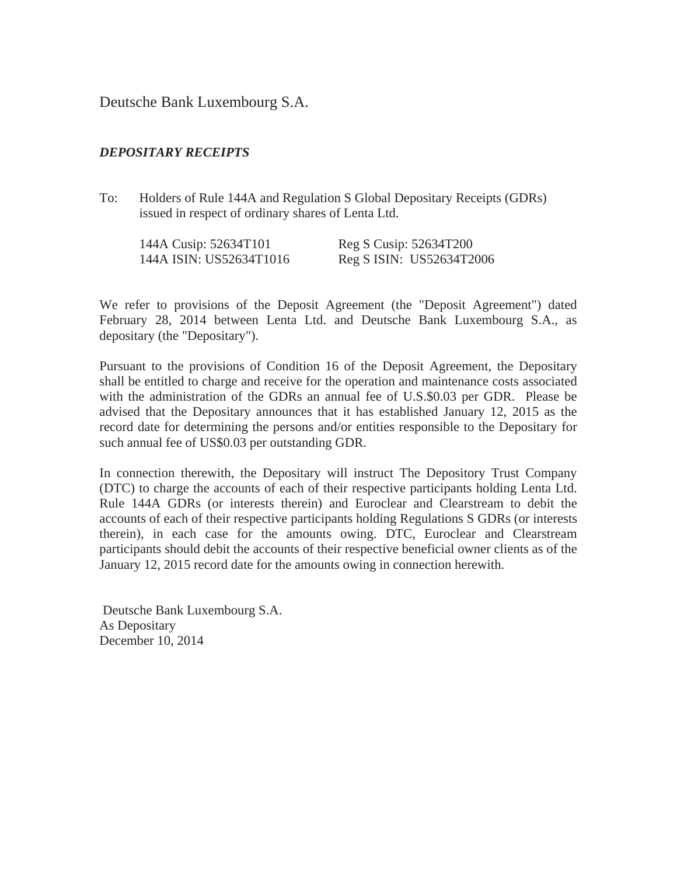Deutsche Bank Luxembourg S.A.

## *DEPOSITARY RECEIPTS*

To: Holders of Rule 144A and Regulation S Global Depositary Receipts (GDRs) issued in respect of ordinary shares of Lenta Ltd.

| 144A Cusip: 52634T101   | Reg S Cusip: 52634T200   |
|-------------------------|--------------------------|
| 144A ISIN: US52634T1016 | Reg S ISIN: US52634T2006 |

We refer to provisions of the Deposit Agreement (the "Deposit Agreement") dated February 28, 2014 between Lenta Ltd. and Deutsche Bank Luxembourg S.A., as depositary (the "Depositary").

Pursuant to the provisions of Condition 16 of the Deposit Agreement, the Depositary shall be entitled to charge and receive for the operation and maintenance costs associated with the administration of the GDRs an annual fee of U.S.\$0.03 per GDR. Please be advised that the Depositary announces that it has established January 12, 2015 as the record date for determining the persons and/or entities responsible to the Depositary for such annual fee of US\$0.03 per outstanding GDR.

In connection therewith, the Depositary will instruct The Depository Trust Company (DTC) to charge the accounts of each of their respective participants holding Lenta Ltd. Rule 144A GDRs (or interests therein) and Euroclear and Clearstream to debit the accounts of each of their respective participants holding Regulations S GDRs (or interests therein), in each case for the amounts owing. DTC, Euroclear and Clearstream participants should debit the accounts of their respective beneficial owner clients as of the January 12, 2015 record date for the amounts owing in connection herewith.

 Deutsche Bank Luxembourg S.A. As Depositary December 10, 2014